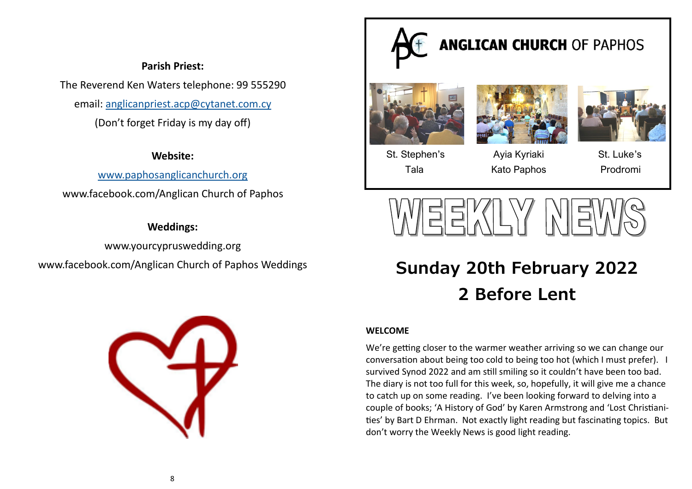# **Parish Priest:**

The Reverend Ken Waters telephone: 99 555290

email: [anglicanpriest.acp@cytanet.com.cy](mailto:anglicanpriest.acp@cytanet.com.cy)

(Don't forget Friday is my day off)

# **Website:**

[www.paphosanglicanchurch.org](http://www.paphosanglicanchurch.org)

www.facebook.com/Anglican Church of Paphos

# **Weddings:**

[www.yourcypruswedding.org](http://www.churchweddingspaphos.com)  www.facebook.com/Anglican Church of Paphos Weddings





# **Sunday 20th February 2022 2 Before Lent**

# **WELCOME**

We're getting closer to the warmer weather arriving so we can change our conversation about being too cold to being too hot (which I must prefer). I survived Synod 2022 and am still smiling so it couldn't have been too bad. The diary is not too full for this week, so, hopefully, it will give me a chance to catch up on some reading. I've been looking forward to delving into a couple of books; 'A History of God' by Karen Armstrong and 'Lost Christianities' by Bart D Ehrman. Not exactly light reading but fascinating topics. But don't worry the Weekly News is good light reading.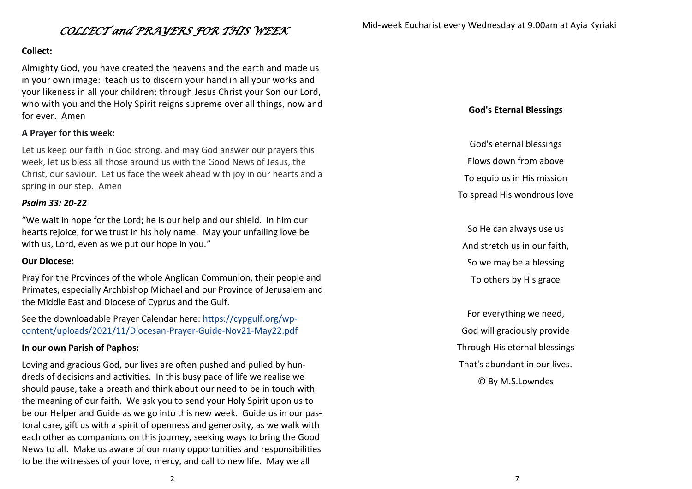## **Collect:**

Almighty God, you have created the heavens and the earth and made us in your own image: teach us to discern your hand in all your works and your likeness in all your children; through Jesus Christ your Son our Lord, who with you and the Holy Spirit reigns supreme over all things, now and for ever. Amen

## **A Prayer for this week:**

Let us keep our faith in God strong, and may God answer our prayers this week, let us bless all those around us with the Good News of Jesus, the Christ, our saviour. Let us face the week ahead with joy in our hearts and a spring in our step. Amen

#### *Psalm 33: 20-22*

"We wait in hope for the Lord; he is our help and our shield. In him our hearts rejoice, for we trust in his holy name. May your unfailing love be with us, Lord, even as we put our hope in you."

#### **Our Diocese:**

Pray for the Provinces of the whole Anglican Communion, their people and Primates, especially Archbishop Michael and our Province of Jerusalem and the Middle East and Diocese of Cyprus and the Gulf.

See the downloadable Prayer Calendar here: https://cypgulf.org/wpcontent/uploads/2021/11/Diocesan-Prayer-Guide-Nov21-May22.pdf

#### **In our own Parish of Paphos:**

Loving and gracious God, our lives are often pushed and pulled by hundreds of decisions and activities. In this busy pace of life we realise we should pause, take a breath and think about our need to be in touch with the meaning of our faith. We ask you to send your Holy Spirit upon us to be our Helper and Guide as we go into this new week. Guide us in our pastoral care, gift us with a spirit of openness and generosity, as we walk with each other as companions on this journey, seeking ways to bring the Good News to all. Make us aware of our many opportunities and responsibilities to be the witnesses of your love, mercy, and call to new life. May we all

## **God's Eternal Blessings**

God's eternal blessings

Flows down from above

To equip us in His mission

To spread His wondrous love

So He can always use us And stretch us in our faith, So we may be a blessing To others by His grace

For everything we need, God will graciously provide Through His eternal blessings That's abundant in our lives. © By M.S.Lowndes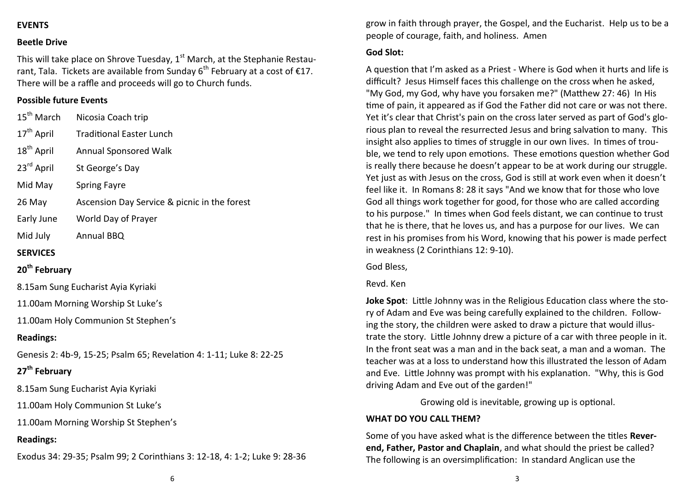## **EVENTS**

#### **Beetle Drive**

This will take place on Shrove Tuesday,  $1<sup>st</sup>$  March, at the Stephanie Restaurant, Tala. Tickets are available from Sunday  $6<sup>th</sup>$  February at a cost of  $£17$ . There will be a raffle and proceeds will go to Church funds.

## **Possible future Events**

| 15 <sup>th</sup> March                                              | Nicosia Coach trip                           |
|---------------------------------------------------------------------|----------------------------------------------|
| 17 <sup>th</sup> April                                              | <b>Traditional Easter Lunch</b>              |
| 18 <sup>th</sup> April                                              | <b>Annual Sponsored Walk</b>                 |
| 23rd April                                                          | St George's Day                              |
| Mid May                                                             | <b>Spring Fayre</b>                          |
| 26 May                                                              | Ascension Day Service & picnic in the forest |
| Early June                                                          | World Day of Prayer                          |
| Mid July                                                            | Annual BBQ                                   |
| <b>SERVICES</b>                                                     |                                              |
| 20 <sup>th</sup> February                                           |                                              |
| 8.15am Sung Eucharist Ayia Kyriaki                                  |                                              |
| 11.00am Morning Worship St Luke's                                   |                                              |
| 11.00am Holy Communion St Stephen's                                 |                                              |
| <b>Readings:</b>                                                    |                                              |
| Genesis 2: 4b-9, 15-25; Psalm 65; Revelation 4: 1-11; Luke 8: 22-25 |                                              |
| 27 <sup>th</sup> February                                           |                                              |

8.15am Sung Eucharist Ayia Kyriaki

11.00am Holy Communion St Luke's

11.00am Morning Worship St Stephen's

## **Readings:**

Exodus 34: 29-35; Psalm 99; 2 Corinthians 3: 12-18, 4: 1-2; Luke 9: 28-36

grow in faith through prayer, the Gospel, and the Eucharist. Help us to be a people of courage, faith, and holiness. Amen

#### **God Slot:**

A question that I'm asked as a Priest - Where is God when it hurts and life is difficult? Jesus Himself faces this challenge on the cross when he asked, "My God, my God, why have you forsaken me?" (Matthew 27: 46) In His time of pain, it appeared as if God the Father did not care or was not there. Yet it's clear that Christ's pain on the cross later served as part of God's glorious plan to reveal the resurrected Jesus and bring salvation to many. This insight also applies to times of struggle in our own lives. In times of trouble, we tend to rely upon emotions. These emotions question whether God is really there because he doesn't appear to be at work during our struggle. Yet just as with Jesus on the cross, God is still at work even when it doesn't feel like it. In Romans 8: 28 it says "And we know that for those who love God all things work together for good, for those who are called according to his purpose." In times when God feels distant, we can continue to trust that he is there, that he loves us, and has a purpose for our lives. We can rest in his promises from his Word, knowing that his power is made perfect in weakness (2 Corinthians 12: 9-10).

God Bless,

#### Revd. Ken

**Joke Spot**: Little Johnny was in the Religious Education class where the story of Adam and Eve was being carefully explained to the children. Following the story, the children were asked to draw a picture that would illustrate the story. Little Johnny drew a picture of a car with three people in it. In the front seat was a man and in the back seat, a man and a woman. The teacher was at a loss to understand how this illustrated the lesson of Adam and Eve. Little Johnny was prompt with his explanation. "Why, this is God driving Adam and Eve out of the garden!"

Growing old is inevitable, growing up is optional.

#### **WHAT DO YOU CALL THEM?**

Some of you have asked what is the difference between the titles **Reverend, Father, Pastor and Chaplain**, and what should the priest be called? The following is an oversimplification: In standard Anglican use the